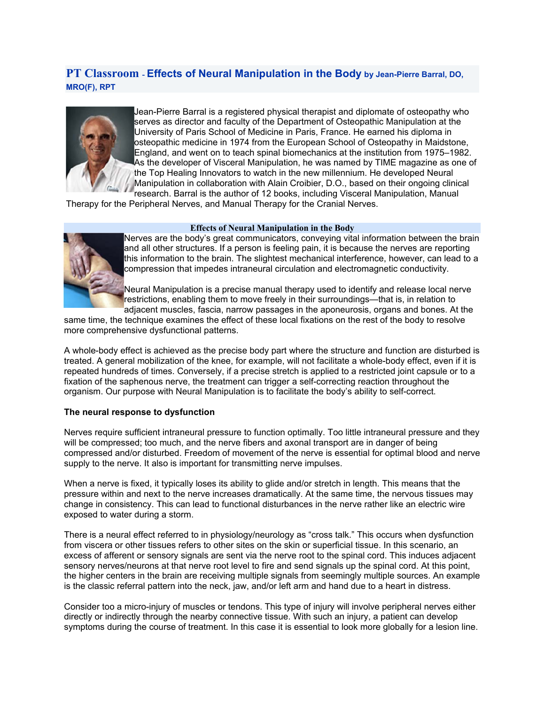# **PT Classroom - Effects of Neural Manipulation in the Body by Jean-Pierre Barral, DO, MRO(F), RPT**



Jean-Pierre Barral is a registered physical therapist and diplomate of osteopathy who serves as director and faculty of the Department of Osteopathic Manipulation at the University of Paris School of Medicine in Paris, France. He earned his diploma in osteopathic medicine in 1974 from the European School of Osteopathy in Maidstone, England, and went on to teach spinal biomechanics at the institution from 1975–1982. As the developer of Visceral Manipulation, he was named by TIME magazine as one of the Top Healing Innovators to watch in the new millennium. He developed Neural Manipulation in collaboration with Alain Croibier, D.O., based on their ongoing clinical research. Barral is the author of 12 books, including Visceral Manipulation, Manual

Therapy for the Peripheral Nerves, and Manual Therapy for the Cranial Nerves.

#### **Effects of Neural Manipulation in the Body**



Nerves are the body's great communicators, conveying vital information between the brain and all other structures. If a person is feeling pain, it is because the nerves are reporting this information to the brain. The slightest mechanical interference, however, can lead to a compression that impedes intraneural circulation and electromagnetic conductivity.

Neural Manipulation is a precise manual therapy used to identify and release local nerve restrictions, enabling them to move freely in their surroundings—that is, in relation to adjacent muscles, fascia, narrow passages in the aponeurosis, organs and bones. At the

same time, the technique examines the effect of these local fixations on the rest of the body to resolve more comprehensive dysfunctional patterns.

A whole-body effect is achieved as the precise body part where the structure and function are disturbed is treated. A general mobilization of the knee, for example, will not facilitate a whole-body effect, even if it is repeated hundreds of times. Conversely, if a precise stretch is applied to a restricted joint capsule or to a fixation of the saphenous nerve, the treatment can trigger a self-correcting reaction throughout the organism. Our purpose with Neural Manipulation is to facilitate the body's ability to self-correct.

## **The neural response to dysfunction**

Nerves require sufficient intraneural pressure to function optimally. Too little intraneural pressure and they will be compressed; too much, and the nerve fibers and axonal transport are in danger of being compressed and/or disturbed. Freedom of movement of the nerve is essential for optimal blood and nerve supply to the nerve. It also is important for transmitting nerve impulses.

When a nerve is fixed, it typically loses its ability to glide and/or stretch in length. This means that the pressure within and next to the nerve increases dramatically. At the same time, the nervous tissues may change in consistency. This can lead to functional disturbances in the nerve rather like an electric wire exposed to water during a storm.

There is a neural effect referred to in physiology/neurology as "cross talk." This occurs when dysfunction from viscera or other tissues refers to other sites on the skin or superficial tissue. In this scenario, an excess of afferent or sensory signals are sent via the nerve root to the spinal cord. This induces adjacent sensory nerves/neurons at that nerve root level to fire and send signals up the spinal cord. At this point, the higher centers in the brain are receiving multiple signals from seemingly multiple sources. An example is the classic referral pattern into the neck, jaw, and/or left arm and hand due to a heart in distress.

Consider too a micro-injury of muscles or tendons. This type of injury will involve peripheral nerves either directly or indirectly through the nearby connective tissue. With such an injury, a patient can develop symptoms during the course of treatment. In this case it is essential to look more globally for a lesion line.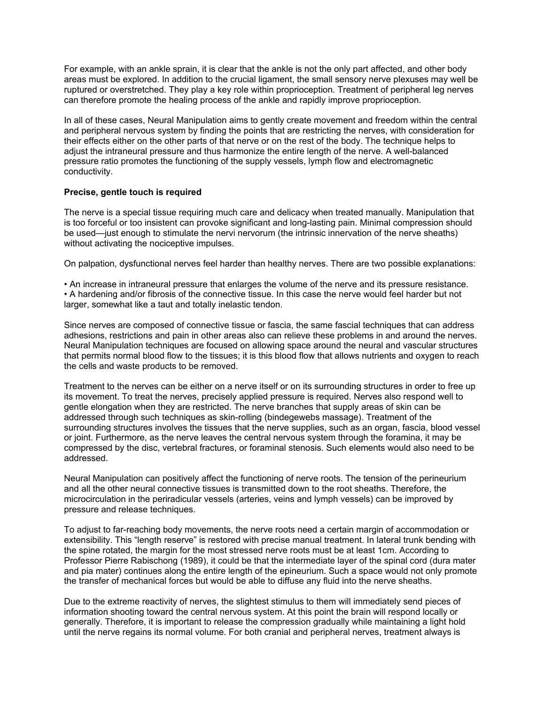For example, with an ankle sprain, it is clear that the ankle is not the only part affected, and other body areas must be explored. In addition to the crucial ligament, the small sensory nerve plexuses may well be ruptured or overstretched. They play a key role within proprioception. Treatment of peripheral leg nerves can therefore promote the healing process of the ankle and rapidly improve proprioception.

In all of these cases, Neural Manipulation aims to gently create movement and freedom within the central and peripheral nervous system by finding the points that are restricting the nerves, with consideration for their effects either on the other parts of that nerve or on the rest of the body. The technique helps to adjust the intraneural pressure and thus harmonize the entire length of the nerve. A well-balanced pressure ratio promotes the functioning of the supply vessels, lymph flow and electromagnetic conductivity.

## **Precise, gentle touch is required**

The nerve is a special tissue requiring much care and delicacy when treated manually. Manipulation that is too forceful or too insistent can provoke significant and long-lasting pain. Minimal compression should be used—just enough to stimulate the nervi nervorum (the intrinsic innervation of the nerve sheaths) without activating the nociceptive impulses.

On palpation, dysfunctional nerves feel harder than healthy nerves. There are two possible explanations:

• An increase in intraneural pressure that enlarges the volume of the nerve and its pressure resistance. • A hardening and/or fibrosis of the connective tissue. In this case the nerve would feel harder but not larger, somewhat like a taut and totally inelastic tendon.

Since nerves are composed of connective tissue or fascia, the same fascial techniques that can address adhesions, restrictions and pain in other areas also can relieve these problems in and around the nerves. Neural Manipulation techniques are focused on allowing space around the neural and vascular structures that permits normal blood flow to the tissues; it is this blood flow that allows nutrients and oxygen to reach the cells and waste products to be removed.

Treatment to the nerves can be either on a nerve itself or on its surrounding structures in order to free up its movement. To treat the nerves, precisely applied pressure is required. Nerves also respond well to gentle elongation when they are restricted. The nerve branches that supply areas of skin can be addressed through such techniques as skin-rolling (bindegewebs massage). Treatment of the surrounding structures involves the tissues that the nerve supplies, such as an organ, fascia, blood vessel or joint. Furthermore, as the nerve leaves the central nervous system through the foramina, it may be compressed by the disc, vertebral fractures, or foraminal stenosis. Such elements would also need to be addressed.

Neural Manipulation can positively affect the functioning of nerve roots. The tension of the perineurium and all the other neural connective tissues is transmitted down to the root sheaths. Therefore, the microcirculation in the periradicular vessels (arteries, veins and lymph vessels) can be improved by pressure and release techniques.

To adjust to far-reaching body movements, the nerve roots need a certain margin of accommodation or extensibility. This "length reserve" is restored with precise manual treatment. In lateral trunk bending with the spine rotated, the margin for the most stressed nerve roots must be at least 1cm. According to Professor Pierre Rabischong (1989), it could be that the intermediate layer of the spinal cord (dura mater and pia mater) continues along the entire length of the epineurium. Such a space would not only promote the transfer of mechanical forces but would be able to diffuse any fluid into the nerve sheaths.

Due to the extreme reactivity of nerves, the slightest stimulus to them will immediately send pieces of information shooting toward the central nervous system. At this point the brain will respond locally or generally. Therefore, it is important to release the compression gradually while maintaining a light hold until the nerve regains its normal volume. For both cranial and peripheral nerves, treatment always is